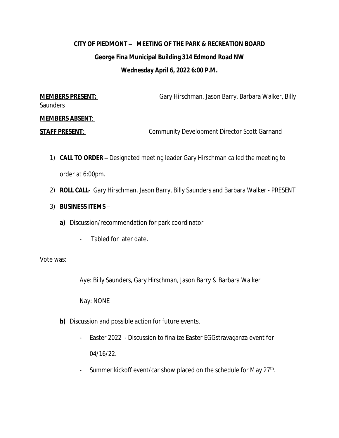## **CITY OF PIEDMONT – MEETING OF THE PARK & RECREATION BOARD George Fina Municipal Building 314 Edmond Road NW Wednesday April 6, 2022 6:00 P.M.**

**MEMBERS PRESENT:** Gary Hirschman, Jason Barry, Barbara Walker, Billy Gary Hirschman, Jason Barry, Barbara Walker, Billy **Saunders** 

## **MEMBERS ABSENT**:

**STAFF PRESENT:** Community Development Director Scott Garnand

- 1) **CALL TO ORDER –** Designated meeting leader Gary Hirschman called the meeting to order at 6:00pm.
- 2) **ROLL CALL-** Gary Hirschman, Jason Barry, Billy Saunders and Barbara Walker PRESENT
- 3) **BUSINESS ITEMS**
	- **a)** Discussion/recommendation for park coordinator
		- Tabled for later date.

Vote was:

Aye: Billy Saunders, Gary Hirschman, Jason Barry & Barbara Walker

Nay: NONE

- **b)** Discussion and possible action for future events.
	- Easter 2022 Discussion to finalize Easter EGGstravaganza event for 04/16/22.
	- Summer kickoff event/car show placed on the schedule for May 27<sup>th</sup>.